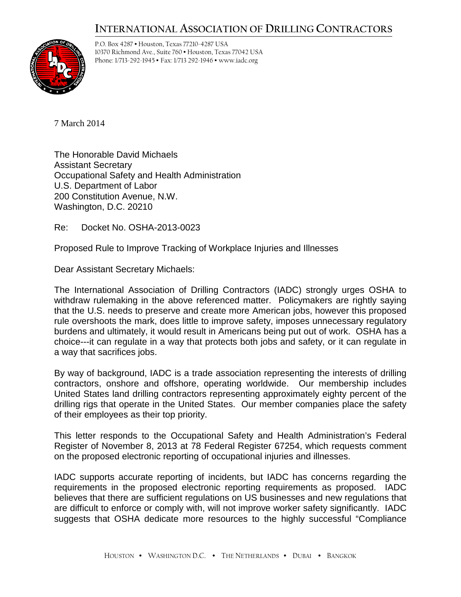## **INTERNATIONAL ASSOCIATION OF DRILLING CONTRACTORS**



P.O. Box 4287 • Houston, Texas 77210-4287 USA 10370 Richmond Ave., Suite 760 • Houston, Texas 77042 USA Phone: 1/713-292-1945 • Fax: 1/713 292-1946 • www.iadc.org

7 March 2014

The Honorable David Michaels Assistant Secretary Occupational Safety and Health Administration U.S. Department of Labor 200 Constitution Avenue, N.W. Washington, D.C. 20210

Re: Docket No. OSHA-2013-0023

Proposed Rule to Improve Tracking of Workplace Injuries and Illnesses

Dear Assistant Secretary Michaels:

The International Association of Drilling Contractors (IADC) strongly urges OSHA to withdraw rulemaking in the above referenced matter. Policymakers are rightly saying that the U.S. needs to preserve and create more American jobs, however this proposed rule overshoots the mark, does little to improve safety, imposes unnecessary regulatory burdens and ultimately, it would result in Americans being put out of work. OSHA has a choice---it can regulate in a way that protects both jobs and safety, or it can regulate in a way that sacrifices jobs.

By way of background, IADC is a trade association representing the interests of drilling contractors, onshore and offshore, operating worldwide. Our membership includes United States land drilling contractors representing approximately eighty percent of the drilling rigs that operate in the United States. Our member companies place the safety of their employees as their top priority.

This letter responds to the Occupational Safety and Health Administration's Federal Register of November 8, 2013 at 78 Federal Register 67254, which requests comment on the proposed electronic reporting of occupational injuries and illnesses.

IADC supports accurate reporting of incidents, but IADC has concerns regarding the requirements in the proposed electronic reporting requirements as proposed. IADC believes that there are sufficient regulations on US businesses and new regulations that are difficult to enforce or comply with, will not improve worker safety significantly. IADC suggests that OSHA dedicate more resources to the highly successful "Compliance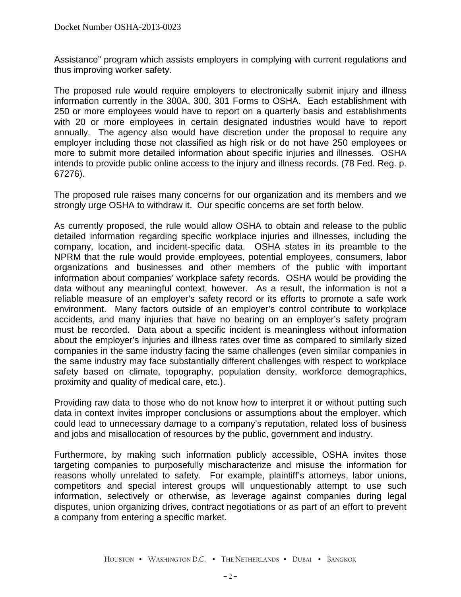Assistance" program which assists employers in complying with current regulations and thus improving worker safety.

The proposed rule would require employers to electronically submit injury and illness information currently in the 300A, 300, 301 Forms to OSHA. Each establishment with 250 or more employees would have to report on a quarterly basis and establishments with 20 or more employees in certain designated industries would have to report annually. The agency also would have discretion under the proposal to require any employer including those not classified as high risk or do not have 250 employees or more to submit more detailed information about specific injuries and illnesses. OSHA intends to provide public online access to the injury and illness records. (78 Fed. Reg. p. 67276).

The proposed rule raises many concerns for our organization and its members and we strongly urge OSHA to withdraw it. Our specific concerns are set forth below.

As currently proposed, the rule would allow OSHA to obtain and release to the public detailed information regarding specific workplace injuries and illnesses, including the company, location, and incident-specific data. OSHA states in its preamble to the NPRM that the rule would provide employees, potential employees, consumers, labor organizations and businesses and other members of the public with important information about companies' workplace safety records. OSHA would be providing the data without any meaningful context, however. As a result, the information is not a reliable measure of an employer's safety record or its efforts to promote a safe work environment. Many factors outside of an employer's control contribute to workplace accidents, and many injuries that have no bearing on an employer's safety program must be recorded. Data about a specific incident is meaningless without information about the employer's injuries and illness rates over time as compared to similarly sized companies in the same industry facing the same challenges (even similar companies in the same industry may face substantially different challenges with respect to workplace safety based on climate, topography, population density, workforce demographics, proximity and quality of medical care, etc.).

Providing raw data to those who do not know how to interpret it or without putting such data in context invites improper conclusions or assumptions about the employer, which could lead to unnecessary damage to a company's reputation, related loss of business and jobs and misallocation of resources by the public, government and industry.

Furthermore, by making such information publicly accessible, OSHA invites those targeting companies to purposefully mischaracterize and misuse the information for reasons wholly unrelated to safety. For example, plaintiff's attorneys, labor unions, competitors and special interest groups will unquestionably attempt to use such information, selectively or otherwise, as leverage against companies during legal disputes, union organizing drives, contract negotiations or as part of an effort to prevent a company from entering a specific market.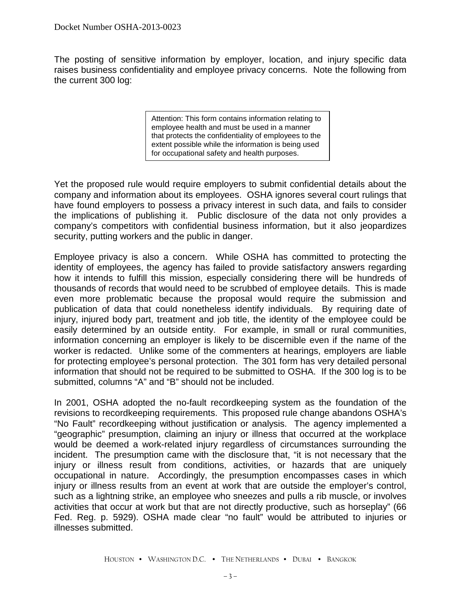The posting of sensitive information by employer, location, and injury specific data raises business confidentiality and employee privacy concerns. Note the following from the current 300 log:

> Attention: This form contains information relating to employee health and must be used in a manner that protects the confidentiality of employees to the extent possible while the information is being used for occupational safety and health purposes.

Yet the proposed rule would require employers to submit confidential details about the company and information about its employees. OSHA ignores several court rulings that have found employers to possess a privacy interest in such data, and fails to consider the implications of publishing it. Public disclosure of the data not only provides a company's competitors with confidential business information, but it also jeopardizes security, putting workers and the public in danger.

Employee privacy is also a concern. While OSHA has committed to protecting the identity of employees, the agency has failed to provide satisfactory answers regarding how it intends to fulfill this mission, especially considering there will be hundreds of thousands of records that would need to be scrubbed of employee details. This is made even more problematic because the proposal would require the submission and publication of data that could nonetheless identify individuals. By requiring date of injury, injured body part, treatment and job title, the identity of the employee could be easily determined by an outside entity. For example, in small or rural communities, information concerning an employer is likely to be discernible even if the name of the worker is redacted. Unlike some of the commenters at hearings, employers are liable for protecting employee's personal protection. The 301 form has very detailed personal information that should not be required to be submitted to OSHA. If the 300 log is to be submitted, columns "A" and "B" should not be included.

In 2001, OSHA adopted the no-fault recordkeeping system as the foundation of the revisions to recordkeeping requirements. This proposed rule change abandons OSHA's "No Fault" recordkeeping without justification or analysis. The agency implemented a "geographic" presumption, claiming an injury or illness that occurred at the workplace would be deemed a work-related injury regardless of circumstances surrounding the incident. The presumption came with the disclosure that, "it is not necessary that the injury or illness result from conditions, activities, or hazards that are uniquely occupational in nature. Accordingly, the presumption encompasses cases in which injury or illness results from an event at work that are outside the employer's control, such as a lightning strike, an employee who sneezes and pulls a rib muscle, or involves activities that occur at work but that are not directly productive, such as horseplay" (66 Fed. Reg. p. 5929). OSHA made clear "no fault" would be attributed to injuries or illnesses submitted.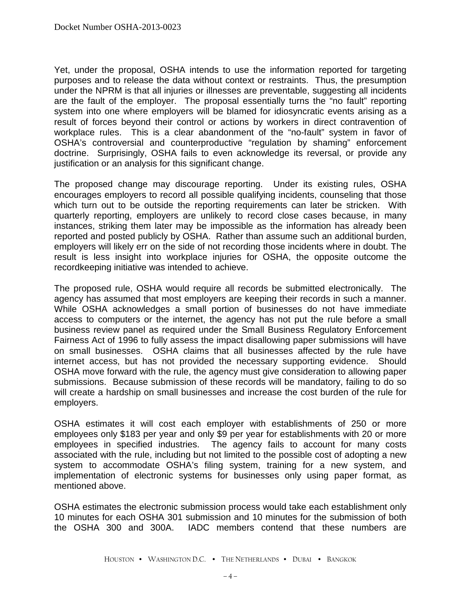Yet, under the proposal, OSHA intends to use the information reported for targeting purposes and to release the data without context or restraints. Thus, the presumption under the NPRM is that all injuries or illnesses are preventable, suggesting all incidents are the fault of the employer. The proposal essentially turns the "no fault" reporting system into one where employers will be blamed for idiosyncratic events arising as a result of forces beyond their control or actions by workers in direct contravention of workplace rules. This is a clear abandonment of the "no-fault" system in favor of OSHA's controversial and counterproductive "regulation by shaming" enforcement doctrine. Surprisingly, OSHA fails to even acknowledge its reversal, or provide any justification or an analysis for this significant change.

The proposed change may discourage reporting. Under its existing rules, OSHA encourages employers to record all possible qualifying incidents, counseling that those which turn out to be outside the reporting requirements can later be stricken. With quarterly reporting, employers are unlikely to record close cases because, in many instances, striking them later may be impossible as the information has already been reported and posted publicly by OSHA. Rather than assume such an additional burden, employers will likely err on the side of not recording those incidents where in doubt. The result is less insight into workplace injuries for OSHA, the opposite outcome the recordkeeping initiative was intended to achieve.

The proposed rule, OSHA would require all records be submitted electronically. The agency has assumed that most employers are keeping their records in such a manner. While OSHA acknowledges a small portion of businesses do not have immediate access to computers or the internet, the agency has not put the rule before a small business review panel as required under the Small Business Regulatory Enforcement Fairness Act of 1996 to fully assess the impact disallowing paper submissions will have on small businesses. OSHA claims that all businesses affected by the rule have internet access, but has not provided the necessary supporting evidence. Should OSHA move forward with the rule, the agency must give consideration to allowing paper submissions. Because submission of these records will be mandatory, failing to do so will create a hardship on small businesses and increase the cost burden of the rule for employers.

OSHA estimates it will cost each employer with establishments of 250 or more employees only \$183 per year and only \$9 per year for establishments with 20 or more employees in specified industries. The agency fails to account for many costs associated with the rule, including but not limited to the possible cost of adopting a new system to accommodate OSHA's filing system, training for a new system, and implementation of electronic systems for businesses only using paper format, as mentioned above.

OSHA estimates the electronic submission process would take each establishment only 10 minutes for each OSHA 301 submission and 10 minutes for the submission of both the OSHA 300 and 300A. IADC members contend that these numbers are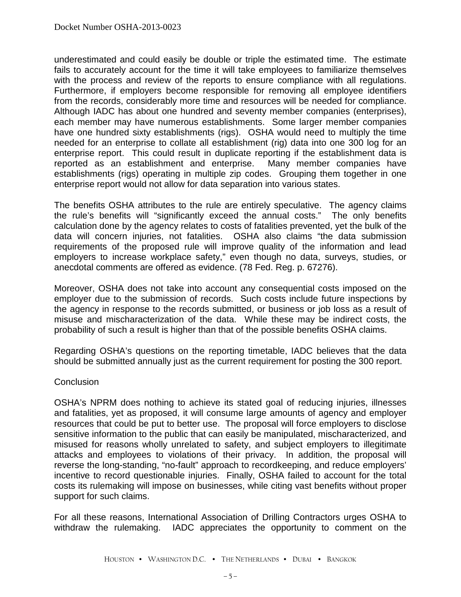underestimated and could easily be double or triple the estimated time. The estimate fails to accurately account for the time it will take employees to familiarize themselves with the process and review of the reports to ensure compliance with all regulations. Furthermore, if employers become responsible for removing all employee identifiers from the records, considerably more time and resources will be needed for compliance. Although IADC has about one hundred and seventy member companies (enterprises), each member may have numerous establishments. Some larger member companies have one hundred sixty establishments (rigs). OSHA would need to multiply the time needed for an enterprise to collate all establishment (rig) data into one 300 log for an enterprise report. This could result in duplicate reporting if the establishment data is reported as an establishment and enterprise. Many member companies have establishments (rigs) operating in multiple zip codes. Grouping them together in one enterprise report would not allow for data separation into various states.

The benefits OSHA attributes to the rule are entirely speculative. The agency claims the rule's benefits will "significantly exceed the annual costs." The only benefits calculation done by the agency relates to costs of fatalities prevented, yet the bulk of the data will concern injuries, not fatalities. OSHA also claims "the data submission requirements of the proposed rule will improve quality of the information and lead employers to increase workplace safety," even though no data, surveys, studies, or anecdotal comments are offered as evidence. (78 Fed. Reg. p. 67276).

Moreover, OSHA does not take into account any consequential costs imposed on the employer due to the submission of records. Such costs include future inspections by the agency in response to the records submitted, or business or job loss as a result of misuse and mischaracterization of the data. While these may be indirect costs, the probability of such a result is higher than that of the possible benefits OSHA claims.

Regarding OSHA's questions on the reporting timetable, IADC believes that the data should be submitted annually just as the current requirement for posting the 300 report.

## **Conclusion**

OSHA's NPRM does nothing to achieve its stated goal of reducing injuries, illnesses and fatalities, yet as proposed, it will consume large amounts of agency and employer resources that could be put to better use. The proposal will force employers to disclose sensitive information to the public that can easily be manipulated, mischaracterized, and misused for reasons wholly unrelated to safety, and subject employers to illegitimate attacks and employees to violations of their privacy. In addition, the proposal will reverse the long-standing, "no-fault" approach to recordkeeping, and reduce employers' incentive to record questionable injuries. Finally, OSHA failed to account for the total costs its rulemaking will impose on businesses, while citing vast benefits without proper support for such claims.

For all these reasons, International Association of Drilling Contractors urges OSHA to withdraw the rulemaking. IADC appreciates the opportunity to comment on the